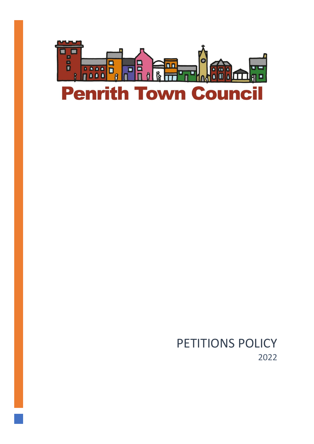

# PETITIONS POLICY 2022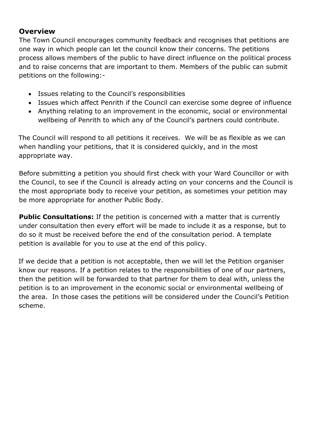### **Overview**

The Town Council encourages community feedback and recognises that petitions are one way in which people can let the council know their concerns. The petitions process allows members of the public to have direct influence on the political process and to raise concerns that are important to them. Members of the public can submit petitions on the following:-

- Issues relating to the Council's responsibilities
- Issues which affect Penrith if the Council can exercise some degree of influence
- Anything relating to an improvement in the economic, social or environmental wellbeing of Penrith to which any of the Council's partners could contribute.

The Council will respond to all petitions it receives. We will be as flexible as we can when handling your petitions, that it is considered quickly, and in the most appropriate way.

Before submitting a petition you should first check with your Ward Councillor or with the Council, to see if the Council is already acting on your concerns and the Council is the most appropriate body to receive your petition, as sometimes your petition may be more appropriate for another Public Body.

**Public Consultations:** If the petition is concerned with a matter that is currently under consultation then every effort will be made to include it as a response, but to do so it must be received before the end of the consultation period. A template petition is available for you to use at the end of this policy.

If we decide that a petition is not acceptable, then we will let the Petition organiser know our reasons. If a petition relates to the responsibilities of one of our partners, then the petition will be forwarded to that partner for them to deal with, unless the petition is to an improvement in the economic social or environmental wellbeing of the area. In those cases the petitions will be considered under the Council's Petition scheme.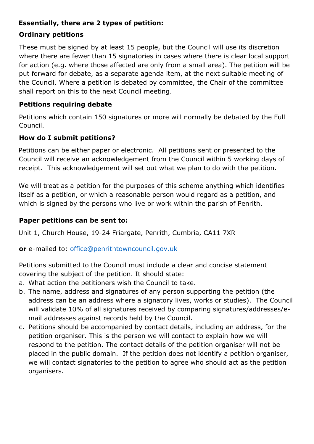### **Essentially, there are 2 types of petition:**

#### **Ordinary petitions**

These must be signed by at least 15 people, but the Council will use its discretion where there are fewer than 15 signatories in cases where there is clear local support for action (e.g. where those affected are only from a small area). The petition will be put forward for debate, as a separate agenda item, at the next suitable meeting of the Council. Where a petition is debated by committee, the Chair of the committee shall report on this to the next Council meeting.

#### **Petitions requiring debate**

Petitions which contain 150 signatures or more will normally be debated by the Full Council.

### **How do I submit petitions?**

Petitions can be either paper or electronic. All petitions sent or presented to the Council will receive an acknowledgement from the Council within 5 working days of receipt. This acknowledgement will set out what we plan to do with the petition.

We will treat as a petition for the purposes of this scheme anything which identifies itself as a petition, or which a reasonable person would regard as a petition, and which is signed by the persons who live or work within the parish of Penrith.

### **Paper petitions can be sent to:**

Unit 1, Church House, 19-24 Friargate, Penrith, Cumbria, CA11 7XR

**or** e-mailed to: [office@penrithtowncouncil.gov.uk](mailto:office@penrithtowncouncil.gov.uk) 

Petitions submitted to the Council must include a clear and concise statement covering the subject of the petition. It should state:

- a. What action the petitioners wish the Council to take.
- b. The name, address and signatures of any person supporting the petition (the address can be an address where a signatory lives, works or studies). The Council will validate 10% of all signatures received by comparing signatures/addresses/email addresses against records held by the Council.
- c. Petitions should be accompanied by contact details, including an address, for the petition organiser. This is the person we will contact to explain how we will respond to the petition. The contact details of the petition organiser will not be placed in the public domain. If the petition does not identify a petition organiser, we will contact signatories to the petition to agree who should act as the petition organisers.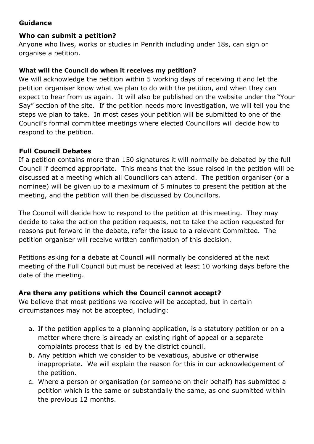### **Guidance**

### **Who can submit a petition?**

Anyone who lives, works or studies in Penrith including under 18s, can sign or organise a petition.

### **What will the Council do when it receives my petition?**

We will acknowledge the petition within 5 working days of receiving it and let the petition organiser know what we plan to do with the petition, and when they can expect to hear from us again. It will also be published on the website under the "Your Say" section of the site. If the petition needs more investigation, we will tell you the steps we plan to take. In most cases your petition will be submitted to one of the Council's formal committee meetings where elected Councillors will decide how to respond to the petition.

### **Full Council Debates**

If a petition contains more than 150 signatures it will normally be debated by the full Council if deemed appropriate. This means that the issue raised in the petition will be discussed at a meeting which all Councillors can attend. The petition organiser (or a nominee) will be given up to a maximum of 5 minutes to present the petition at the meeting, and the petition will then be discussed by Councillors.

The Council will decide how to respond to the petition at this meeting. They may decide to take the action the petition requests, not to take the action requested for reasons put forward in the debate, refer the issue to a relevant Committee. The petition organiser will receive written confirmation of this decision.

Petitions asking for a debate at Council will normally be considered at the next meeting of the Full Council but must be received at least 10 working days before the date of the meeting.

### **Are there any petitions which the Council cannot accept?**

We believe that most petitions we receive will be accepted, but in certain circumstances may not be accepted, including:

- a. If the petition applies to a planning application, is a statutory petition or on a matter where there is already an existing right of appeal or a separate complaints process that is led by the district council.
- b. Any petition which we consider to be vexatious, abusive or otherwise inappropriate. We will explain the reason for this in our acknowledgement of the petition.
- c. Where a person or organisation (or someone on their behalf) has submitted a petition which is the same or substantially the same, as one submitted within the previous 12 months.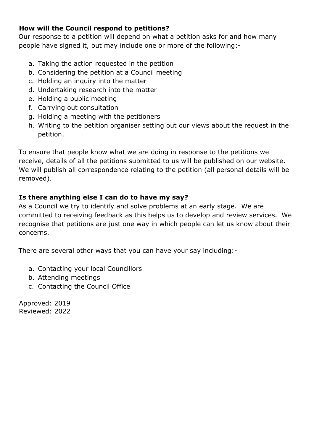### **How will the Council respond to petitions?**

Our response to a petition will depend on what a petition asks for and how many people have signed it, but may include one or more of the following:-

- a. Taking the action requested in the petition
- b. Considering the petition at a Council meeting
- c. Holding an inquiry into the matter
- d. Undertaking research into the matter
- e. Holding a public meeting
- f. Carrying out consultation
- g. Holding a meeting with the petitioners
- h. Writing to the petition organiser setting out our views about the request in the petition.

To ensure that people know what we are doing in response to the petitions we receive, details of all the petitions submitted to us will be published on our website. We will publish all correspondence relating to the petition (all personal details will be removed).

### **Is there anything else I can do to have my say?**

As a Council we try to identify and solve problems at an early stage. We are committed to receiving feedback as this helps us to develop and review services. We recognise that petitions are just one way in which people can let us know about their concerns.

There are several other ways that you can have your say including:-

- a. Contacting your local Councillors
- b. Attending meetings
- c. Contacting the Council Office

Approved: 2019 Reviewed: 2022